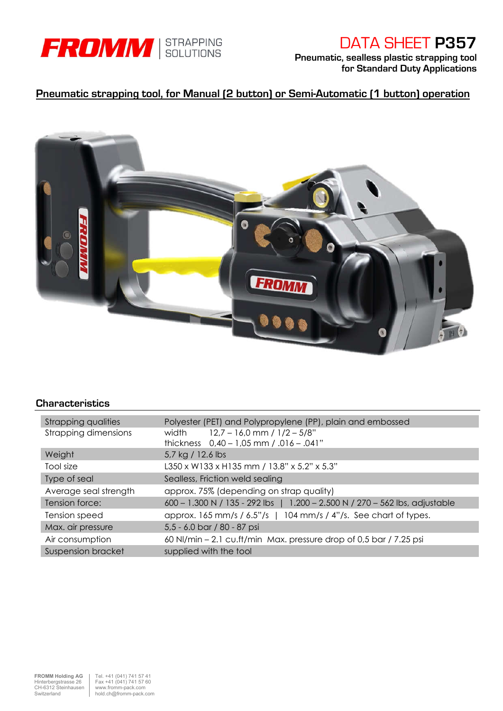

# DATA SHEET P357

Pneumatic, sealless plastic strapping tool for Standard Duty Applications

## Pneumatic strapping tool, for Manual (2 button) or Semi-Automatic (1 button) operation



### **Characteristics**

| <b>Strapping qualities</b>  | Polyester (PET) and Polypropylene (PP), plain and embossed                  |  |  |  |  |  |
|-----------------------------|-----------------------------------------------------------------------------|--|--|--|--|--|
| <b>Strapping dimensions</b> | $12.7 - 16.0$ mm / $1/2 - 5/8"$<br>width                                    |  |  |  |  |  |
|                             | thickness $0.40 - 1.05$ mm $/ .016 - .041$ "                                |  |  |  |  |  |
| Weight                      | 5,7 kg / 12.6 lbs                                                           |  |  |  |  |  |
| Tool size                   | L350 x W133 x H135 mm / 13.8" x 5.2" x 5.3"                                 |  |  |  |  |  |
| Type of seal                | Sealless, Friction weld sealing                                             |  |  |  |  |  |
| Average seal strength       | approx. 75% (depending on strap quality)                                    |  |  |  |  |  |
| Tension force:              | 600 - 1.300 N / 135 - 292 lbs   1.200 - 2.500 N / 270 - 562 lbs, adjustable |  |  |  |  |  |
| Tension speed               | approx. $165$ mm/s / $6.5$ "/s   $104$ mm/s / 4"/s. See chart of types.     |  |  |  |  |  |
| Max. air pressure           | 5,5 - 6.0 bar / 80 - 87 psi                                                 |  |  |  |  |  |
| Air consumption             | 60 NI/min - 2.1 cu.ft/min Max. pressure drop of 0,5 bar / 7.25 psi          |  |  |  |  |  |
| <b>Suspension bracket</b>   | supplied with the tool                                                      |  |  |  |  |  |